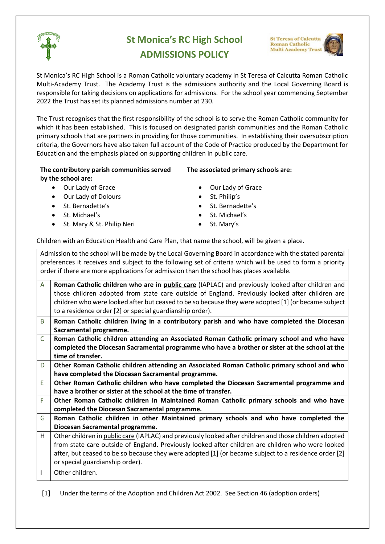

# **St Monica's RC High School ADMISSIONS POLICY**

**St Teresa of Calcutta Roman Catholic Multi Academy Trust** 



The Trust recognises that the first responsibility of the school is to serve the Roman Catholic community for which it has been established. This is focused on designated parish communities and the Roman Catholic primary schools that are partners in providing for those communities. In establishing their oversubscription criteria, the Governors have also taken full account of the Code of Practice produced by the Department for Education and the emphasis placed on supporting children in public care.

### **The contributory parish communities served by the school are:**

- 
- Our Lady of Dolours **•** St. Philip's
- 
- 
- St. Mary & St. Philip Neri •• St. Mary's
- **The associated primary schools are:**
- Our Lady of Grace  **Our Lady of Grace** 
	-
	- St. Bernadette's extending the St. Bernadette's
	- **St. Michael's •• St. Michael's** 
		-

Children with an Education Health and Care Plan, that name the school, will be given a place.

| Admission to the school will be made by the Local Governing Board in accordance with the stated parental   |                                                                                                        |
|------------------------------------------------------------------------------------------------------------|--------------------------------------------------------------------------------------------------------|
| preferences it receives and subject to the following set of criteria which will be used to form a priority |                                                                                                        |
| order if there are more applications for admission than the school has places available.                   |                                                                                                        |
|                                                                                                            |                                                                                                        |
| $\mathsf{A}$                                                                                               | Roman Catholic children who are in public care (IAPLAC) and previously looked after children and       |
|                                                                                                            | those children adopted from state care outside of England. Previously looked after children are        |
|                                                                                                            | children who were looked after but ceased to be so because they were adopted [1] (or became subject    |
|                                                                                                            | to a residence order [2] or special guardianship order).                                               |
| B                                                                                                          | Roman Catholic children living in a contributory parish and who have completed the Diocesan            |
|                                                                                                            | Sacramental programme.                                                                                 |
| $\mathsf{C}$                                                                                               | Roman Catholic children attending an Associated Roman Catholic primary school and who have             |
|                                                                                                            | completed the Diocesan Sacramental programme who have a brother or sister at the school at the         |
|                                                                                                            | time of transfer.                                                                                      |
| D                                                                                                          | Other Roman Catholic children attending an Associated Roman Catholic primary school and who            |
|                                                                                                            | have completed the Diocesan Sacramental programme.                                                     |
| E                                                                                                          | Other Roman Catholic children who have completed the Diocesan Sacramental programme and                |
|                                                                                                            | have a brother or sister at the school at the time of transfer.                                        |
| F                                                                                                          | Other Roman Catholic children in Maintained Roman Catholic primary schools and who have                |
|                                                                                                            | completed the Diocesan Sacramental programme.                                                          |
| G                                                                                                          | Roman Catholic children in other Maintained primary schools and who have completed the                 |
|                                                                                                            | Diocesan Sacramental programme.                                                                        |
| H                                                                                                          | Other children in public care (IAPLAC) and previously looked after children and those children adopted |
|                                                                                                            | from state care outside of England. Previously looked after children are children who were looked      |
|                                                                                                            | after, but ceased to be so because they were adopted [1] (or became subject to a residence order [2]   |
|                                                                                                            | or special guardianship order).                                                                        |
|                                                                                                            | Other children.                                                                                        |
|                                                                                                            |                                                                                                        |

[1] Under the terms of the Adoption and Children Act 2002. See Section 46 (adoption orders)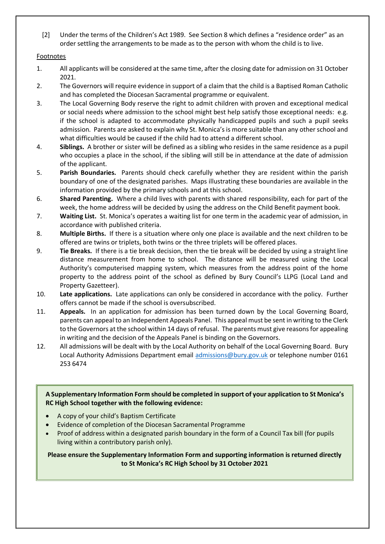[2] Under the terms of the Children's Act 1989. See Section 8 which defines a "residence order" as an order settling the arrangements to be made as to the person with whom the child is to live.

### Footnotes

- 1. All applicants will be considered at the same time, after the closing date for admission on 31 October 2021.
- 2. The Governors will require evidence in support of a claim that the child is a Baptised Roman Catholic and has completed the Diocesan Sacramental programme or equivalent.
- 3. The Local Governing Body reserve the right to admit children with proven and exceptional medical or social needs where admission to the school might best help satisfy those exceptional needs: e.g. if the school is adapted to accommodate physically handicapped pupils and such a pupil seeks admission. Parents are asked to explain why St. Monica's is more suitable than any other school and what difficulties would be caused if the child had to attend a different school.
- 4. **Siblings.** A brother or sister will be defined as a sibling who resides in the same residence as a pupil who occupies a place in the school, if the sibling will still be in attendance at the date of admission of the applicant.
- 5. **Parish Boundaries.** Parents should check carefully whether they are resident within the parish boundary of one of the designated parishes. Maps illustrating these boundaries are available in the information provided by the primary schools and at this school.
- 6. **Shared Parenting.** Where a child lives with parents with shared responsibility, each for part of the week, the home address will be decided by using the address on the Child Benefit payment book.
- 7. **Waiting List.** St. Monica's operates a waiting list for one term in the academic year of admission, in accordance with published criteria.
- 8. **Multiple Births.** If there is a situation where only one place is available and the next children to be offered are twins or triplets, both twins or the three triplets will be offered places.
- 9. **Tie Breaks.** If there is a tie break decision, then the tie break will be decided by using a straight line distance measurement from home to school. The distance will be measured using the Local Authority's computerised mapping system, which measures from the address point of the home property to the address point of the school as defined by Bury Council's LLPG (Local Land and Property Gazetteer).
- 10. **Late applications.** Late applications can only be considered in accordance with the policy. Further offers cannot be made if the school is oversubscribed.
- 11. **Appeals.** In an application for admission has been turned down by the Local Governing Board, parents can appeal to an Independent Appeals Panel. This appeal must be sent in writing to the Clerk to the Governors at the school within 14 days of refusal. The parents must give reasons for appealing in writing and the decision of the Appeals Panel is binding on the Governors.
- 12. All admissions will be dealt with by the Local Authority on behalf of the Local Governing Board. Bury Local Authority Admissions Department email [admissions@bury.gov.uk](mailto:admissions@bury.gov.uk) or telephone number 0161 253 6474

**A Supplementary Information Form should be completed in support of your application to St Monica's RC High School together with the following evidence:**

- A copy of your child's Baptism Certificate
- Evidence of completion of the Diocesan Sacramental Programme
- Proof of address within a designated parish boundary in the form of a Council Tax bill (for pupils living within a contributory parish only).

## **Please ensure the Supplementary Information Form and supporting information is returned directly to St Monica's RC High School by 31 October 2021**